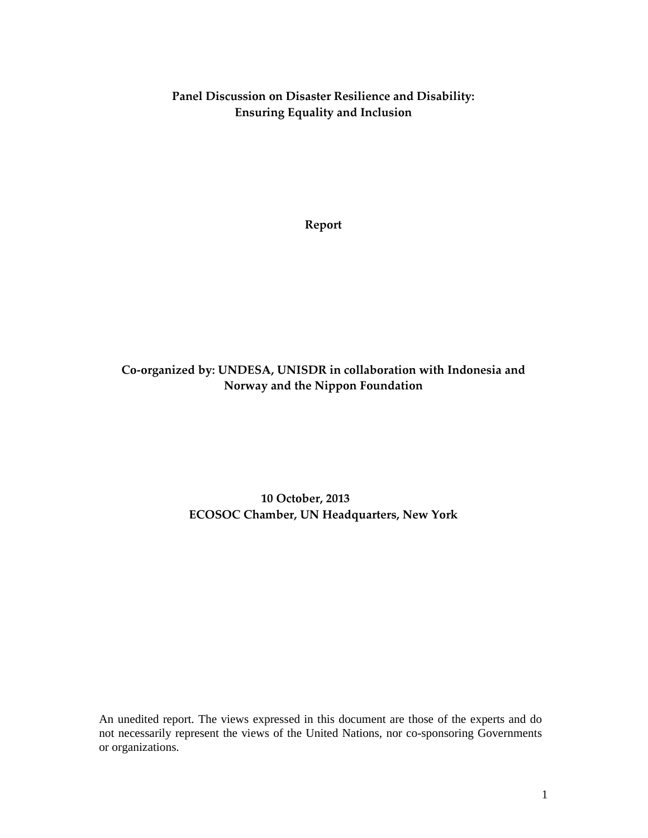Panel Discussion on Disaster Resilience and Disability: Ensuring Equality and Inclusion

Report

# Co-organized by: UNDESA, UNISDR in collaboration with Indonesia and Norway and the Nippon Foundation

# 10 October, 2013 ECOSOC Chamber, UN Headquarters, New York

An unedited report. The views expressed in this document are those of the experts and do not necessarily represent the views of the United Nations, nor co-sponsoring Governments or organizations.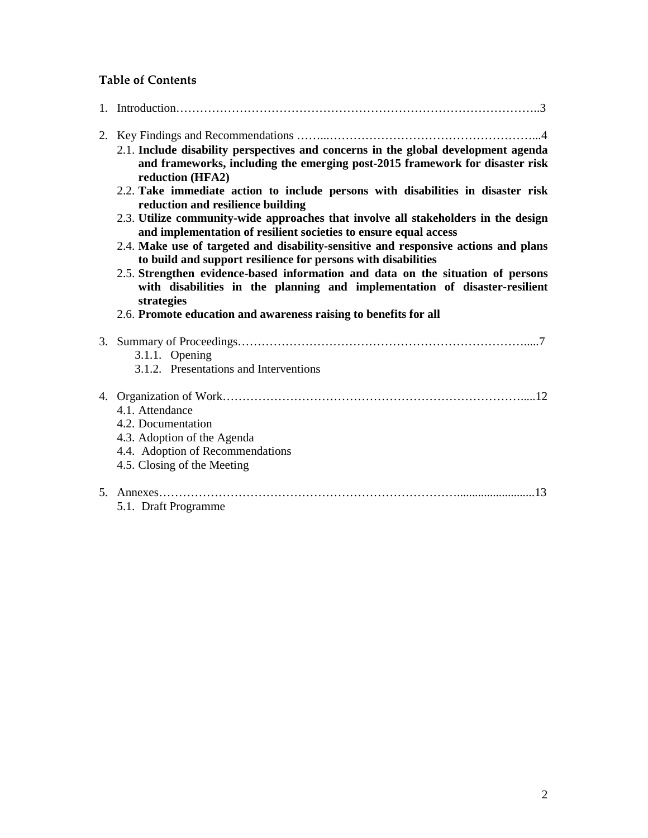# Table of Contents

- 2. Key Findings and Recommendations ……...……………………………………………...4
	- 2.1. **Include disability perspectives and concerns in the global development agenda and frameworks, including the emerging post-2015 framework for disaster risk reduction (HFA2)**
	- 2.2. **Take immediate action to include persons with disabilities in disaster risk reduction and resilience building**
	- 2.3. **Utilize community-wide approaches that involve all stakeholders in the design and implementation of resilient societies to ensure equal access**
	- 2.4. **Make use of targeted and disability-sensitive and responsive actions and plans to build and support resilience for persons with disabilities**
	- 2.5. **Strengthen evidence-based information and data on the situation of persons with disabilities in the planning and implementation of disaster-resilient strategies**
	- 2.6. **Promote education and awareness raising to benefits for all**

| 3.1.1. Opening<br>3.1.2. Presentations and Interventions                                                                                |
|-----------------------------------------------------------------------------------------------------------------------------------------|
| 4.1. Attendance<br>4.2. Documentation<br>4.3. Adoption of the Agenda<br>4.4. Adoption of Recommendations<br>4.5. Closing of the Meeting |
| 5.1. Draft Programme                                                                                                                    |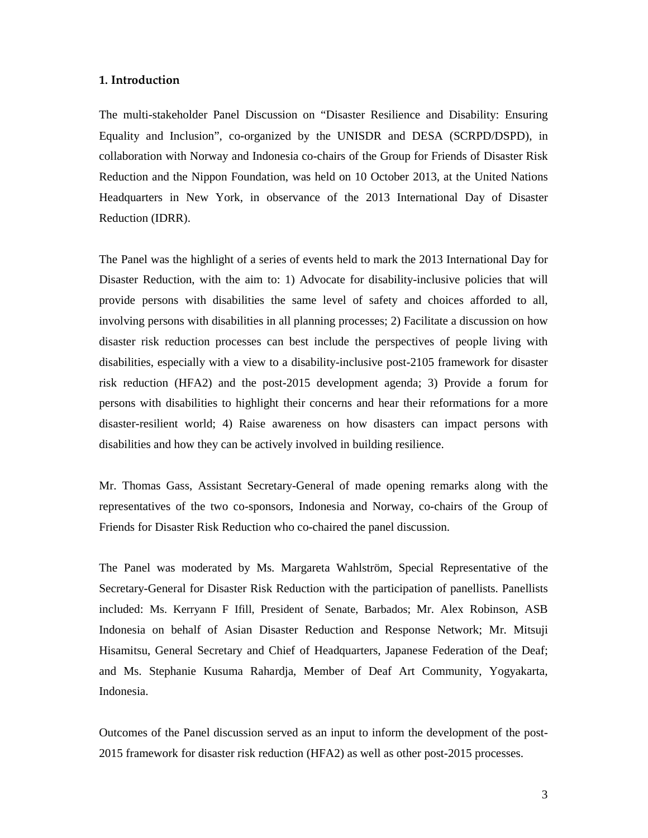#### 1. Introduction

The multi-stakeholder Panel Discussion on "Disaster Resilience and Disability: Ensuring Equality and Inclusion", co-organized by the UNISDR and DESA (SCRPD/DSPD), in collaboration with Norway and Indonesia co-chairs of the Group for Friends of Disaster Risk Reduction and the Nippon Foundation, was held on 10 October 2013, at the United Nations Headquarters in New York, in observance of the 2013 International Day of Disaster Reduction (IDRR).

The Panel was the highlight of a series of events held to mark the 2013 International Day for Disaster Reduction, with the aim to: 1) Advocate for disability-inclusive policies that will provide persons with disabilities the same level of safety and choices afforded to all, involving persons with disabilities in all planning processes; 2) Facilitate a discussion on how disaster risk reduction processes can best include the perspectives of people living with disabilities, especially with a view to a disability-inclusive post-2105 framework for disaster risk reduction (HFA2) and the post-2015 development agenda; 3) Provide a forum for persons with disabilities to highlight their concerns and hear their reformations for a more disaster-resilient world; 4) Raise awareness on how disasters can impact persons with disabilities and how they can be actively involved in building resilience.

Mr. Thomas Gass, Assistant Secretary-General of made opening remarks along with the representatives of the two co-sponsors, Indonesia and Norway, co-chairs of the Group of Friends for Disaster Risk Reduction who co-chaired the panel discussion.

The Panel was moderated by Ms. Margareta Wahlström, Special Representative of the Secretary-General for Disaster Risk Reduction with the participation of panellists. Panellists included: Ms. Kerryann F Ifill, President of Senate, Barbados; Mr. Alex Robinson, ASB Indonesia on behalf of Asian Disaster Reduction and Response Network; Mr. Mitsuji Hisamitsu, General Secretary and Chief of Headquarters, Japanese Federation of the Deaf; and Ms. Stephanie Kusuma Rahardja, Member of Deaf Art Community, Yogyakarta, Indonesia.

Outcomes of the Panel discussion served as an input to inform the development of the post-2015 framework for disaster risk reduction (HFA2) as well as other post-2015 processes.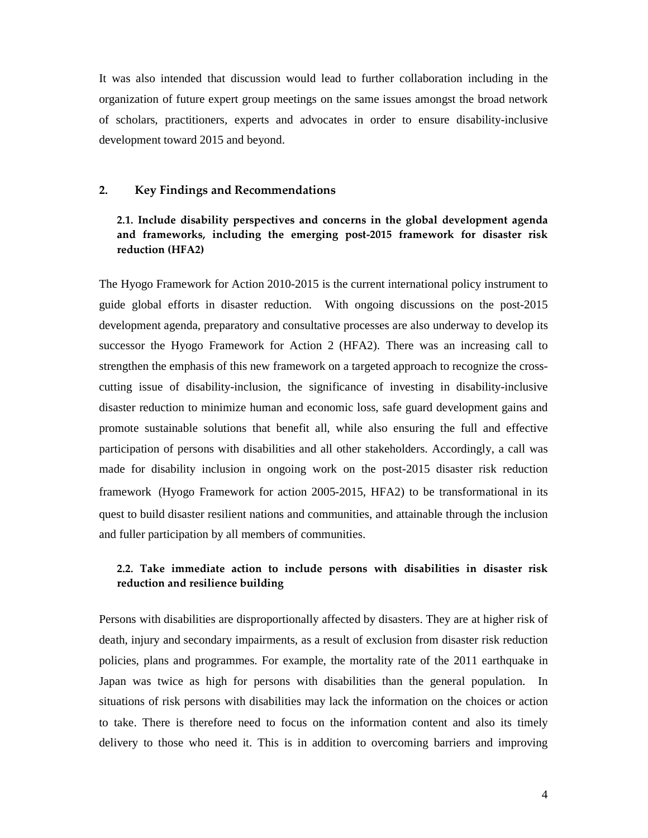It was also intended that discussion would lead to further collaboration including in the organization of future expert group meetings on the same issues amongst the broad network of scholars, practitioners, experts and advocates in order to ensure disability-inclusive development toward 2015 and beyond.

#### 2. Key Findings and Recommendations

# 2.1. Include disability perspectives and concerns in the global development agenda and frameworks, including the emerging post-2015 framework for disaster risk reduction (HFA2)

The Hyogo Framework for Action 2010-2015 is the current international policy instrument to guide global efforts in disaster reduction. With ongoing discussions on the post-2015 development agenda, preparatory and consultative processes are also underway to develop its successor the Hyogo Framework for Action 2 (HFA2). There was an increasing call to strengthen the emphasis of this new framework on a targeted approach to recognize the crosscutting issue of disability-inclusion, the significance of investing in disability-inclusive disaster reduction to minimize human and economic loss, safe guard development gains and promote sustainable solutions that benefit all, while also ensuring the full and effective participation of persons with disabilities and all other stakeholders. Accordingly, a call was made for disability inclusion in ongoing work on the post-2015 disaster risk reduction framework (Hyogo Framework for action 2005-2015, HFA2) to be transformational in its quest to build disaster resilient nations and communities, and attainable through the inclusion and fuller participation by all members of communities.

# 2.2. Take immediate action to include persons with disabilities in disaster risk reduction and resilience building

Persons with disabilities are disproportionally affected by disasters. They are at higher risk of death, injury and secondary impairments, as a result of exclusion from disaster risk reduction policies, plans and programmes. For example, the mortality rate of the 2011 earthquake in Japan was twice as high for persons with disabilities than the general population. In situations of risk persons with disabilities may lack the information on the choices or action to take. There is therefore need to focus on the information content and also its timely delivery to those who need it. This is in addition to overcoming barriers and improving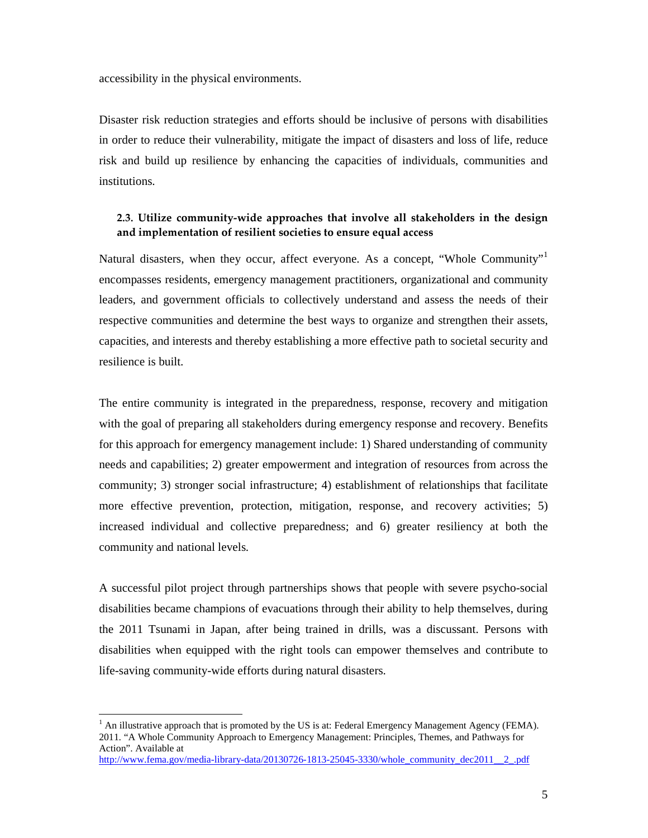accessibility in the physical environments.

Disaster risk reduction strategies and efforts should be inclusive of persons with disabilities in order to reduce their vulnerability, mitigate the impact of disasters and loss of life, reduce risk and build up resilience by enhancing the capacities of individuals, communities and institutions.

# 2.3. Utilize community-wide approaches that involve all stakeholders in the design and implementation of resilient societies to ensure equal access

Natural disasters, when they occur, affect everyone. As a concept, "Whole Community"<sup>1</sup> encompasses residents, emergency management practitioners, organizational and community leaders, and government officials to collectively understand and assess the needs of their respective communities and determine the best ways to organize and strengthen their assets, capacities, and interests and thereby establishing a more effective path to societal security and resilience is built.

The entire community is integrated in the preparedness, response, recovery and mitigation with the goal of preparing all stakeholders during emergency response and recovery. Benefits for this approach for emergency management include: 1) Shared understanding of community needs and capabilities; 2) greater empowerment and integration of resources from across the community; 3) stronger social infrastructure; 4) establishment of relationships that facilitate more effective prevention, protection, mitigation, response, and recovery activities; 5) increased individual and collective preparedness; and 6) greater resiliency at both the community and national levels.

A successful pilot project through partnerships shows that people with severe psycho-social disabilities became champions of evacuations through their ability to help themselves, during the 2011 Tsunami in Japan, after being trained in drills, was a discussant. Persons with disabilities when equipped with the right tools can empower themselves and contribute to life-saving community-wide efforts during natural disasters.

-

 $<sup>1</sup>$  An illustrative approach that is promoted by the US is at: Federal Emergency Management Agency (FEMA).</sup> 2011. "A Whole Community Approach to Emergency Management: Principles, Themes, and Pathways for Action". Available at

http://www.fema.gov/media-library-data/20130726-1813-25045-3330/whole\_community\_dec2011\_\_2\_.pdf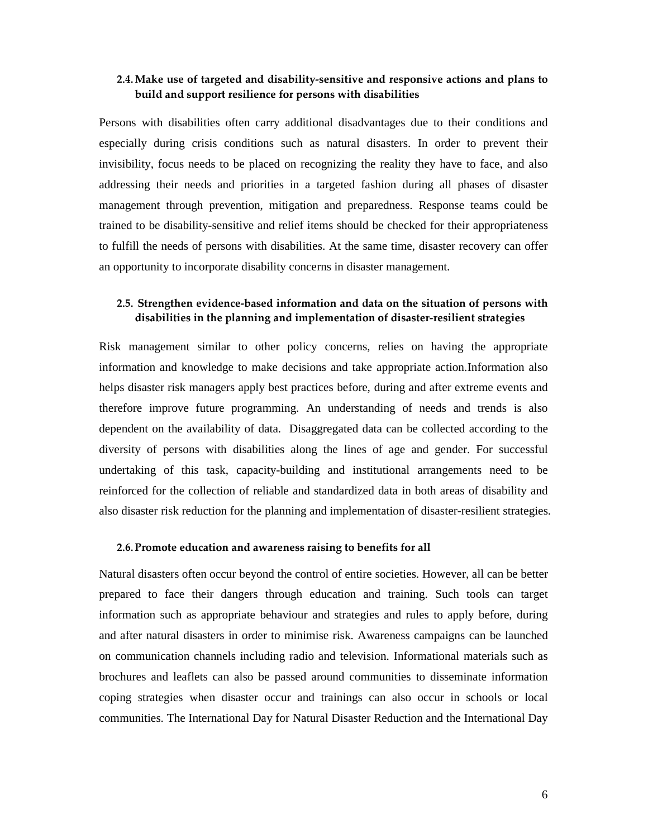# 2.4.Make use of targeted and disability-sensitive and responsive actions and plans to build and support resilience for persons with disabilities

Persons with disabilities often carry additional disadvantages due to their conditions and especially during crisis conditions such as natural disasters. In order to prevent their invisibility, focus needs to be placed on recognizing the reality they have to face, and also addressing their needs and priorities in a targeted fashion during all phases of disaster management through prevention, mitigation and preparedness. Response teams could be trained to be disability-sensitive and relief items should be checked for their appropriateness to fulfill the needs of persons with disabilities. At the same time, disaster recovery can offer an opportunity to incorporate disability concerns in disaster management.

# 2.5. Strengthen evidence-based information and data on the situation of persons with disabilities in the planning and implementation of disaster-resilient strategies

Risk management similar to other policy concerns, relies on having the appropriate information and knowledge to make decisions and take appropriate action.Information also helps disaster risk managers apply best practices before, during and after extreme events and therefore improve future programming. An understanding of needs and trends is also dependent on the availability of data. Disaggregated data can be collected according to the diversity of persons with disabilities along the lines of age and gender. For successful undertaking of this task, capacity-building and institutional arrangements need to be reinforced for the collection of reliable and standardized data in both areas of disability and also disaster risk reduction for the planning and implementation of disaster-resilient strategies.

#### 2.6.Promote education and awareness raising to benefits for all

Natural disasters often occur beyond the control of entire societies. However, all can be better prepared to face their dangers through education and training. Such tools can target information such as appropriate behaviour and strategies and rules to apply before, during and after natural disasters in order to minimise risk. Awareness campaigns can be launched on communication channels including radio and television. Informational materials such as brochures and leaflets can also be passed around communities to disseminate information coping strategies when disaster occur and trainings can also occur in schools or local communities. The International Day for Natural Disaster Reduction and the International Day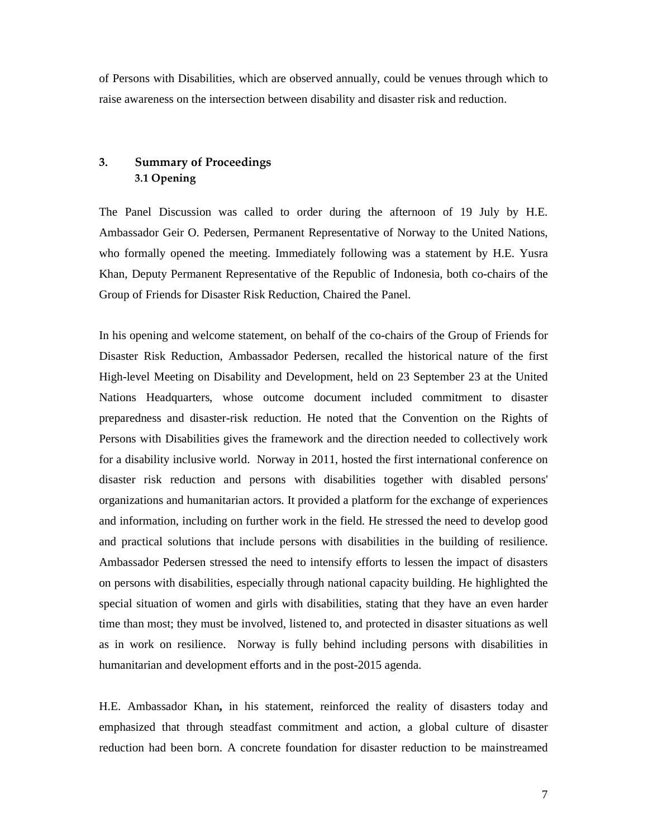of Persons with Disabilities, which are observed annually, could be venues through which to raise awareness on the intersection between disability and disaster risk and reduction.

# 3. Summary of Proceedings 3.1 Opening

The Panel Discussion was called to order during the afternoon of 19 July by H.E. Ambassador Geir O. Pedersen, Permanent Representative of Norway to the United Nations, who formally opened the meeting. Immediately following was a statement by H.E. Yusra Khan, Deputy Permanent Representative of the Republic of Indonesia, both co-chairs of the Group of Friends for Disaster Risk Reduction, Chaired the Panel.

In his opening and welcome statement, on behalf of the co-chairs of the Group of Friends for Disaster Risk Reduction, Ambassador Pedersen, recalled the historical nature of the first High-level Meeting on Disability and Development, held on 23 September 23 at the United Nations Headquarters, whose outcome document included commitment to disaster preparedness and disaster-risk reduction. He noted that the Convention on the Rights of Persons with Disabilities gives the framework and the direction needed to collectively work for a disability inclusive world. Norway in 2011, hosted the first international conference on disaster risk reduction and persons with disabilities together with disabled persons' organizations and humanitarian actors. It provided a platform for the exchange of experiences and information, including on further work in the field. He stressed the need to develop good and practical solutions that include persons with disabilities in the building of resilience. Ambassador Pedersen stressed the need to intensify efforts to lessen the impact of disasters on persons with disabilities, especially through national capacity building. He highlighted the special situation of women and girls with disabilities, stating that they have an even harder time than most; they must be involved, listened to, and protected in disaster situations as well as in work on resilience. Norway is fully behind including persons with disabilities in humanitarian and development efforts and in the post-2015 agenda.

H.E. Ambassador Khan**,** in his statement, reinforced the reality of disasters today and emphasized that through steadfast commitment and action, a global culture of disaster reduction had been born. A concrete foundation for disaster reduction to be mainstreamed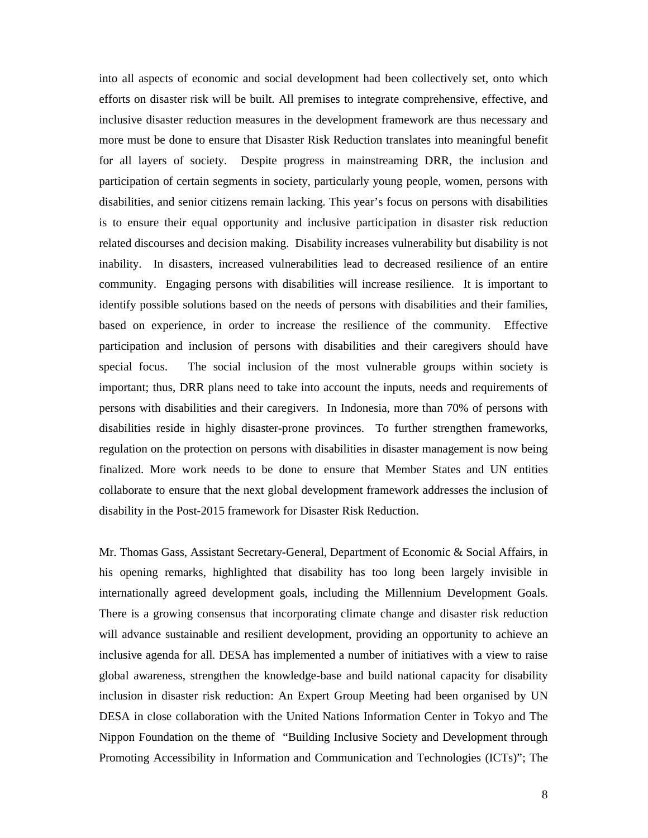into all aspects of economic and social development had been collectively set, onto which efforts on disaster risk will be built. All premises to integrate comprehensive, effective, and inclusive disaster reduction measures in the development framework are thus necessary and more must be done to ensure that Disaster Risk Reduction translates into meaningful benefit for all layers of society. Despite progress in mainstreaming DRR, the inclusion and participation of certain segments in society, particularly young people, women, persons with disabilities, and senior citizens remain lacking. This year's focus on persons with disabilities is to ensure their equal opportunity and inclusive participation in disaster risk reduction related discourses and decision making. Disability increases vulnerability but disability is not inability. In disasters, increased vulnerabilities lead to decreased resilience of an entire community. Engaging persons with disabilities will increase resilience. It is important to identify possible solutions based on the needs of persons with disabilities and their families, based on experience, in order to increase the resilience of the community. Effective participation and inclusion of persons with disabilities and their caregivers should have special focus. The social inclusion of the most vulnerable groups within society is important; thus, DRR plans need to take into account the inputs, needs and requirements of persons with disabilities and their caregivers. In Indonesia, more than 70% of persons with disabilities reside in highly disaster-prone provinces. To further strengthen frameworks, regulation on the protection on persons with disabilities in disaster management is now being finalized. More work needs to be done to ensure that Member States and UN entities collaborate to ensure that the next global development framework addresses the inclusion of disability in the Post-2015 framework for Disaster Risk Reduction.

Mr. Thomas Gass, Assistant Secretary-General, Department of Economic & Social Affairs, in his opening remarks, highlighted that disability has too long been largely invisible in internationally agreed development goals, including the Millennium Development Goals. There is a growing consensus that incorporating climate change and disaster risk reduction will advance sustainable and resilient development, providing an opportunity to achieve an inclusive agenda for all. DESA has implemented a number of initiatives with a view to raise global awareness, strengthen the knowledge-base and build national capacity for disability inclusion in disaster risk reduction: An Expert Group Meeting had been organised by UN DESA in close collaboration with the United Nations Information Center in Tokyo and The Nippon Foundation on the theme of "Building Inclusive Society and Development through Promoting Accessibility in Information and Communication and Technologies (ICTs)"; The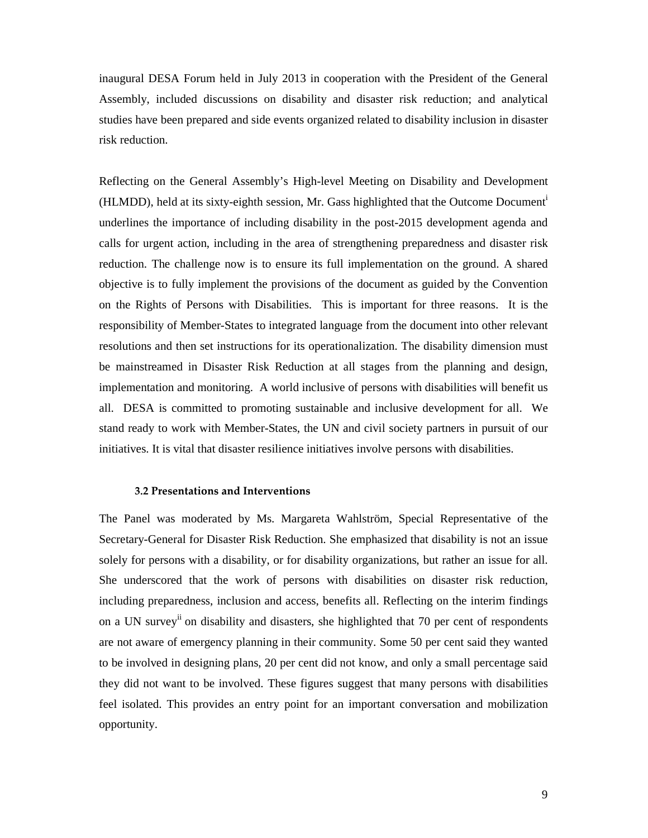inaugural DESA Forum held in July 2013 in cooperation with the President of the General Assembly, included discussions on disability and disaster risk reduction; and analytical studies have been prepared and side events organized related to disability inclusion in disaster risk reduction.

Reflecting on the General Assembly's High-level Meeting on Disability and Development (HLMDD), held at its sixty-eighth session, Mr. Gass highlighted that the Outcome Document<sup>i</sup> underlines the importance of including disability in the post-2015 development agenda and calls for urgent action, including in the area of strengthening preparedness and disaster risk reduction. The challenge now is to ensure its full implementation on the ground. A shared objective is to fully implement the provisions of the document as guided by the Convention on the Rights of Persons with Disabilities. This is important for three reasons. It is the responsibility of Member-States to integrated language from the document into other relevant resolutions and then set instructions for its operationalization. The disability dimension must be mainstreamed in Disaster Risk Reduction at all stages from the planning and design, implementation and monitoring. A world inclusive of persons with disabilities will benefit us all. DESA is committed to promoting sustainable and inclusive development for all. We stand ready to work with Member-States, the UN and civil society partners in pursuit of our initiatives. It is vital that disaster resilience initiatives involve persons with disabilities.

#### 3.2 Presentations and Interventions

The Panel was moderated by Ms. Margareta Wahlström, Special Representative of the Secretary-General for Disaster Risk Reduction. She emphasized that disability is not an issue solely for persons with a disability, or for disability organizations, but rather an issue for all. She underscored that the work of persons with disabilities on disaster risk reduction, including preparedness, inclusion and access, benefits all. Reflecting on the interim findings on a UN survey<sup>ii</sup> on disability and disasters, she highlighted that 70 per cent of respondents are not aware of emergency planning in their community. Some 50 per cent said they wanted to be involved in designing plans, 20 per cent did not know, and only a small percentage said they did not want to be involved. These figures suggest that many persons with disabilities feel isolated. This provides an entry point for an important conversation and mobilization opportunity.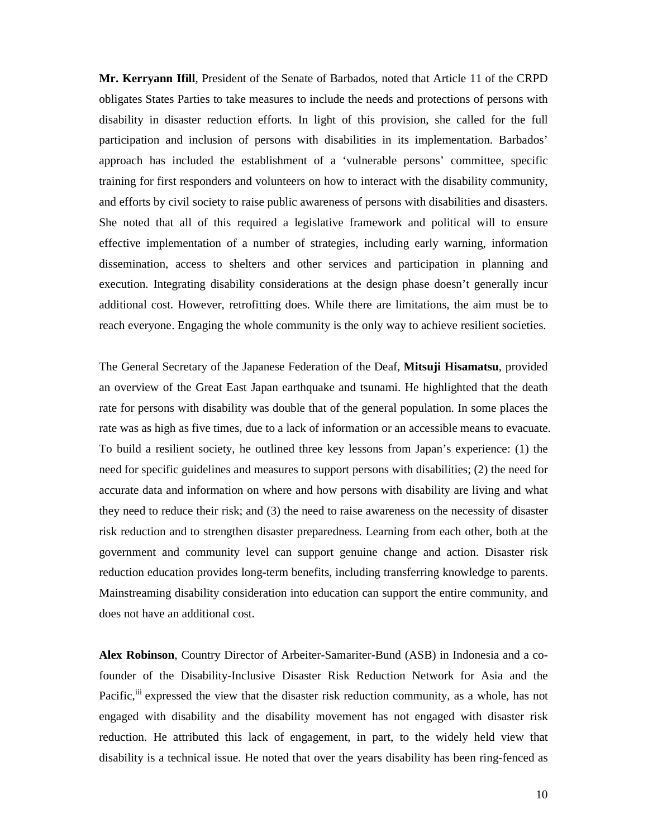**Mr. Kerryann Ifill**, President of the Senate of Barbados, noted that Article 11 of the CRPD obligates States Parties to take measures to include the needs and protections of persons with disability in disaster reduction efforts. In light of this provision, she called for the full participation and inclusion of persons with disabilities in its implementation. Barbados' approach has included the establishment of a 'vulnerable persons' committee, specific training for first responders and volunteers on how to interact with the disability community, and efforts by civil society to raise public awareness of persons with disabilities and disasters. She noted that all of this required a legislative framework and political will to ensure effective implementation of a number of strategies, including early warning, information dissemination, access to shelters and other services and participation in planning and execution. Integrating disability considerations at the design phase doesn't generally incur additional cost. However, retrofitting does. While there are limitations, the aim must be to reach everyone. Engaging the whole community is the only way to achieve resilient societies.

The General Secretary of the Japanese Federation of the Deaf, **Mitsuji Hisamatsu**, provided an overview of the Great East Japan earthquake and tsunami. He highlighted that the death rate for persons with disability was double that of the general population. In some places the rate was as high as five times, due to a lack of information or an accessible means to evacuate. To build a resilient society, he outlined three key lessons from Japan's experience: (1) the need for specific guidelines and measures to support persons with disabilities; (2) the need for accurate data and information on where and how persons with disability are living and what they need to reduce their risk; and (3) the need to raise awareness on the necessity of disaster risk reduction and to strengthen disaster preparedness. Learning from each other, both at the government and community level can support genuine change and action. Disaster risk reduction education provides long-term benefits, including transferring knowledge to parents. Mainstreaming disability consideration into education can support the entire community, and does not have an additional cost.

**Alex Robinson**, Country Director of Arbeiter-Samariter-Bund (ASB) in Indonesia and a cofounder of the Disability-Inclusive Disaster Risk Reduction Network for Asia and the Pacific,<sup>iii</sup> expressed the view that the disaster risk reduction community, as a whole, has not engaged with disability and the disability movement has not engaged with disaster risk reduction. He attributed this lack of engagement, in part, to the widely held view that disability is a technical issue. He noted that over the years disability has been ring-fenced as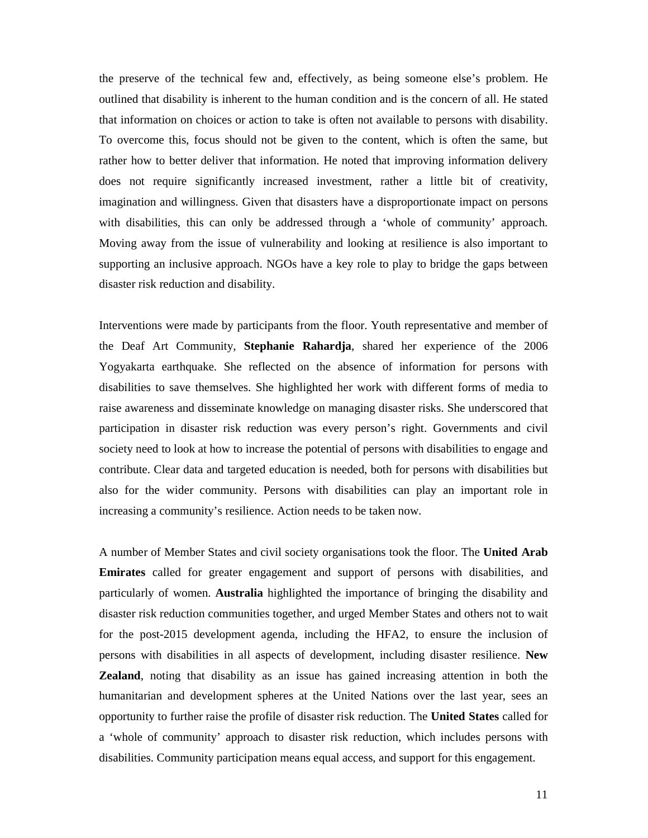the preserve of the technical few and, effectively, as being someone else's problem. He outlined that disability is inherent to the human condition and is the concern of all. He stated that information on choices or action to take is often not available to persons with disability. To overcome this, focus should not be given to the content, which is often the same, but rather how to better deliver that information. He noted that improving information delivery does not require significantly increased investment, rather a little bit of creativity, imagination and willingness. Given that disasters have a disproportionate impact on persons with disabilities, this can only be addressed through a 'whole of community' approach. Moving away from the issue of vulnerability and looking at resilience is also important to supporting an inclusive approach. NGOs have a key role to play to bridge the gaps between disaster risk reduction and disability.

Interventions were made by participants from the floor. Youth representative and member of the Deaf Art Community, **Stephanie Rahardja**, shared her experience of the 2006 Yogyakarta earthquake. She reflected on the absence of information for persons with disabilities to save themselves. She highlighted her work with different forms of media to raise awareness and disseminate knowledge on managing disaster risks. She underscored that participation in disaster risk reduction was every person's right. Governments and civil society need to look at how to increase the potential of persons with disabilities to engage and contribute. Clear data and targeted education is needed, both for persons with disabilities but also for the wider community. Persons with disabilities can play an important role in increasing a community's resilience. Action needs to be taken now.

A number of Member States and civil society organisations took the floor. The **United Arab Emirates** called for greater engagement and support of persons with disabilities, and particularly of women. **Australia** highlighted the importance of bringing the disability and disaster risk reduction communities together, and urged Member States and others not to wait for the post-2015 development agenda, including the HFA2, to ensure the inclusion of persons with disabilities in all aspects of development, including disaster resilience. **New Zealand**, noting that disability as an issue has gained increasing attention in both the humanitarian and development spheres at the United Nations over the last year, sees an opportunity to further raise the profile of disaster risk reduction. The **United States** called for a 'whole of community' approach to disaster risk reduction, which includes persons with disabilities. Community participation means equal access, and support for this engagement.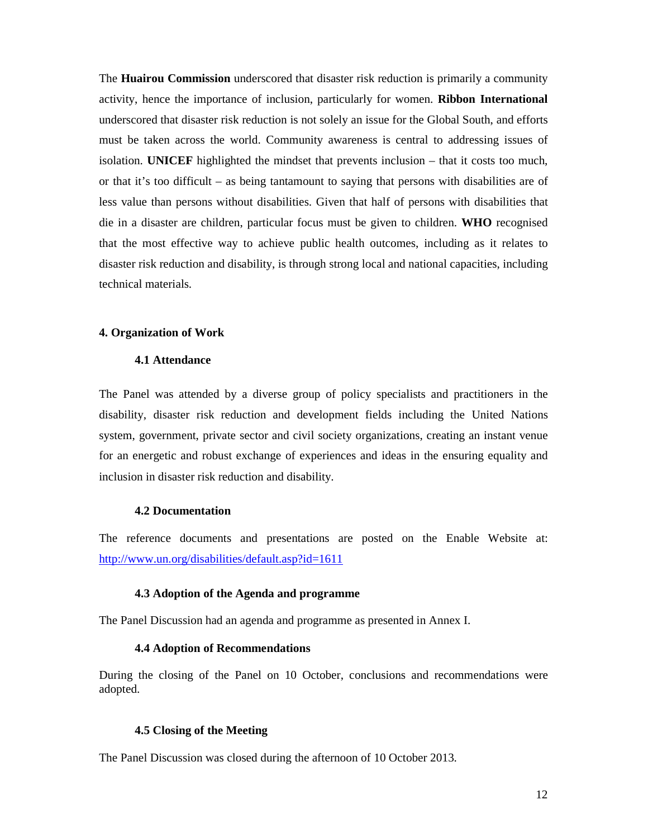The **Huairou Commission** underscored that disaster risk reduction is primarily a community activity, hence the importance of inclusion, particularly for women. **Ribbon International** underscored that disaster risk reduction is not solely an issue for the Global South, and efforts must be taken across the world. Community awareness is central to addressing issues of isolation. **UNICEF** highlighted the mindset that prevents inclusion – that it costs too much, or that it's too difficult – as being tantamount to saying that persons with disabilities are of less value than persons without disabilities. Given that half of persons with disabilities that die in a disaster are children, particular focus must be given to children. **WHO** recognised that the most effective way to achieve public health outcomes, including as it relates to disaster risk reduction and disability, is through strong local and national capacities, including technical materials.

#### **4. Organization of Work**

# **4.1 Attendance**

The Panel was attended by a diverse group of policy specialists and practitioners in the disability, disaster risk reduction and development fields including the United Nations system, government, private sector and civil society organizations, creating an instant venue for an energetic and robust exchange of experiences and ideas in the ensuring equality and inclusion in disaster risk reduction and disability.

#### **4.2 Documentation**

The reference documents and presentations are posted on the Enable Website at: http://www.un.org/disabilities/default.asp?id=1611

## **4.3 Adoption of the Agenda and programme**

The Panel Discussion had an agenda and programme as presented in Annex I.

#### **4.4 Adoption of Recommendations**

During the closing of the Panel on 10 October, conclusions and recommendations were adopted.

#### **4.5 Closing of the Meeting**

The Panel Discussion was closed during the afternoon of 10 October 2013.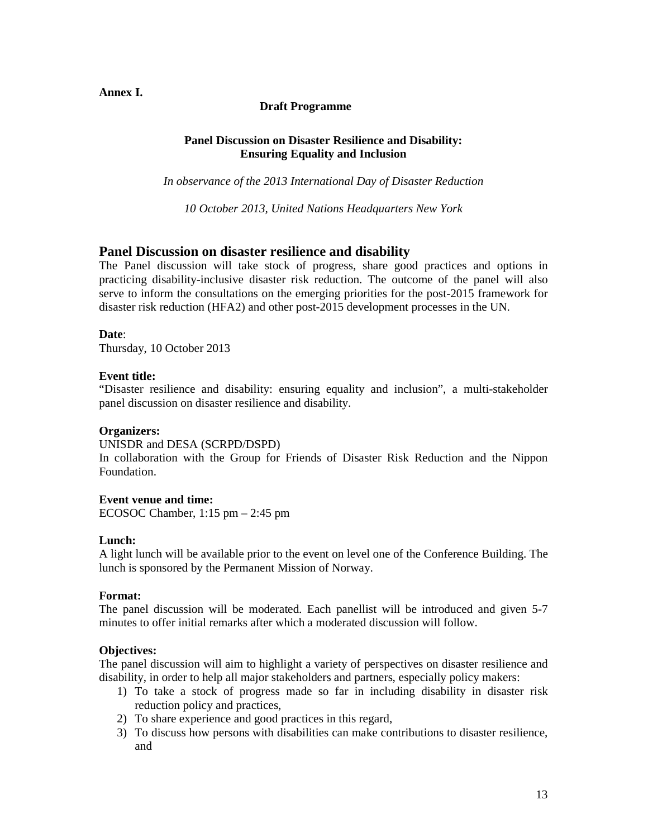# **Annex I.**

## **Draft Programme**

# **Panel Discussion on Disaster Resilience and Disability: Ensuring Equality and Inclusion**

*In observance of the 2013 International Day of Disaster Reduction* 

*10 October 2013, United Nations Headquarters New York* 

# **Panel Discussion on disaster resilience and disability**

The Panel discussion will take stock of progress, share good practices and options in practicing disability-inclusive disaster risk reduction. The outcome of the panel will also serve to inform the consultations on the emerging priorities for the post-2015 framework for disaster risk reduction (HFA2) and other post-2015 development processes in the UN.

### **Date**:

Thursday, 10 October 2013

### **Event title:**

"Disaster resilience and disability: ensuring equality and inclusion", a multi-stakeholder panel discussion on disaster resilience and disability.

#### **Organizers:**

UNISDR and DESA (SCRPD/DSPD)

In collaboration with the Group for Friends of Disaster Risk Reduction and the Nippon Foundation.

# **Event venue and time:**

ECOSOC Chamber, 1:15 pm – 2:45 pm

# **Lunch:**

A light lunch will be available prior to the event on level one of the Conference Building. The lunch is sponsored by the Permanent Mission of Norway.

#### **Format:**

The panel discussion will be moderated. Each panellist will be introduced and given 5-7 minutes to offer initial remarks after which a moderated discussion will follow.

#### **Objectives:**

The panel discussion will aim to highlight a variety of perspectives on disaster resilience and disability, in order to help all major stakeholders and partners, especially policy makers:

- 1) To take a stock of progress made so far in including disability in disaster risk reduction policy and practices,
- 2) To share experience and good practices in this regard,
- 3) To discuss how persons with disabilities can make contributions to disaster resilience, and